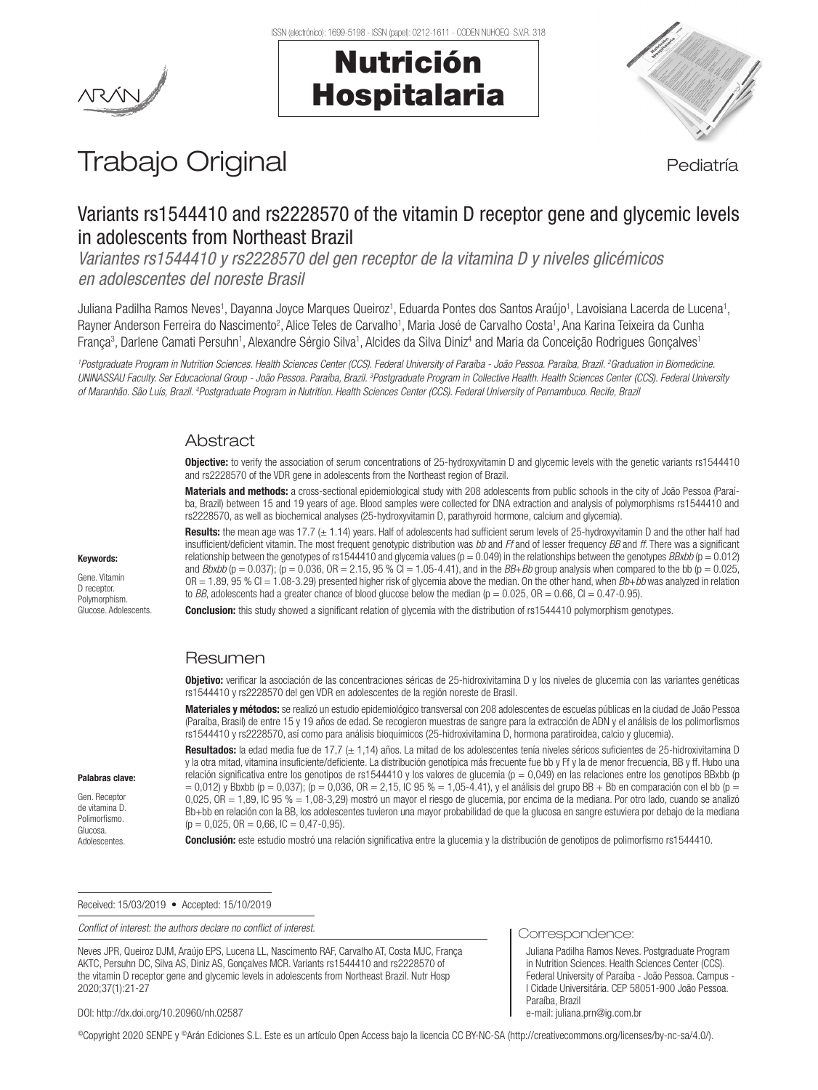



# Trabajo Original en actividad establecer en actividad establecer en actividad establecer en actividad establece

# Variants rs1544410 and rs2228570 of the vitamin D receptor gene and glycemic levels in adolescents from Northeast Brazil

*Variantes rs1544410 y rs2228570 del gen receptor de la vitamina D y niveles glicémicos en adolescentes del noreste Brasil*

Juliana Padilha Ramos Neves<sup>1</sup>, Dayanna Joyce Marques Queiroz<sup>1</sup>, Eduarda Pontes dos Santos Araújo<sup>1</sup>, Lavoisiana Lacerda de Lucena<sup>1</sup>, Rayner Anderson Ferreira do Nascimento<sup>2</sup>, Alice Teles de Carvalho<sup>1</sup>, Maria José de Carvalho Costa<sup>1</sup>, Ana Karina Teixeira da Cunha França<sup>3</sup>, Darlene Camati Persuhn<sup>1</sup>, Alexandre Sérgio Silva<sup>1</sup>, Alcides da Silva Diniz<sup>4</sup> and Maria da Conceição Rodrigues Gonçalves<sup>1</sup>

*1 Postgraduate Program in Nutrition Sciences. Health Sciences Center (CCS). Federal University of Paraíba - João Pessoa. Paraíba, Brazil. 2 Graduation in Biomedicine. UNINASSAU Faculty. Ser Educacional Group - João Pessoa. Paraíba, Brazil. 3 Postgraduate Program in Collective Health. Health Sciences Center (CCS). Federal University of Maranhão. São Luís, Brazil. 4 Postgraduate Program in Nutrition. Health Sciences Center (CCS). Federal University of Pernambuco. Recife, Brazil*

# Abstract

Obiective: to verify the association of serum concentrations of 25-hydroxyvitamin D and glycemic levels with the genetic variants rs1544410 and rs2228570 of the VDR gene in adolescents from the Northeast region of Brazil.

Materials and methods: a cross-sectional epidemiological study with 208 adolescents from public schools in the city of João Pessoa (Paraíba, Brazil) between 15 and 19 years of age. Blood samples were collected for DNA extraction and analysis of polymorphisms rs1544410 and rs2228570, as well as biochemical analyses (25-hydroxyvitamin D, parathyroid hormone, calcium and glycemia).

Results: the mean age was 17.7 (± 1.14) years. Half of adolescents had sufficient serum levels of 25-hydroxyvitamin D and the other half had insufficient/deficient vitamin. The most frequent genotypic distribution was *bb* and *Ff* and of lesser frequency *BB* and *ff*. There was a significant relationship between the genotypes of rs1544410 and glycemia values ( $p = 0.049$ ) in the relationships between the genotypes *BBxbb* ( $p = 0.012$ ) and *Bbxbb* ( $p = 0.037$ ); ( $p = 0.036$ ,  $OR = 2.15$ ,  $95\%$  Cl = 1.05-4.41), and in the *BB+Bb* group analysis when compared to the bb ( $p = 0.025$ , OR = 1.89, 95 % CI = 1.08-3.29) presented higher risk of glycemia above the median. On the other hand, when *Bb*+*bb* was analyzed in relation to *BB*, adolescents had a greater chance of blood glucose below the median ( $p = 0.025$ ,  $OR = 0.66$ ,  $Cl = 0.47 - 0.95$ ).

**Conclusion:** this study showed a significant relation of glycemia with the distribution of rs1544410 polymorphism genotypes.

# Resumen

Objetivo: verificar la asociación de las concentraciones séricas de 25-hidroxivitamina D y los niveles de glucemia con las variantes genéticas rs1544410 y rs2228570 del gen VDR en adolescentes de la región noreste de Brasil.

Materiales y métodos: se realizó un estudio epidemiológico transversal con 208 adolescentes de escuelas públicas en la ciudad de João Pessoa (Paraíba, Brasil) de entre 15 y 19 años de edad. Se recogieron muestras de sangre para la extracción de ADN y el análisis de los polimorfismos rs1544410 y rs2228570, así como para análisis bioquímicos (25-hidroxivitamina D, hormona paratiroidea, calcio y glucemia).

Resultados: la edad media fue de 17,7 (± 1,14) años. La mitad de los adolescentes tenía niveles séricos suficientes de 25-hidroxivitamina D y la otra mitad, vitamina insuficiente/deficiente. La distribución genotípica más frecuente fue bb y Ff y la de menor frecuencia, BB y ff. Hubo una relación significativa entre los genotipos de rs1544410 y los valores de glucemia ( $p = 0.049$ ) en las relaciones entre los genotipos BBxbb (p  $= 0.012$ ) y Bbxbb (p = 0,037); (p = 0,036, OR = 2,15, IC 95 % = 1,05-4.41), y el análisis del grupo BB + Bb en comparación con el bb (p = 0,025, OR = 1,89, IC 95 % = 1,08-3,29) mostró un mayor el riesgo de glucemia, por encima de la mediana. Por otro lado, cuando se analizó Bb+bb en relación con la BB, los adolescentes tuvieron una mayor probabilidad de que la glucosa en sangre estuviera por debajo de la mediana  $(p = 0.025, \text{ OR } = 0.66, \text{ IC } = 0.47 - 0.95).$ 

Correspondence:

e-mail: juliana.prn@ig.com.br

Paraíba, Brazil

Juliana Padilha Ramos Neves. Postgraduate Program in Nutrition Sciences. Health Sciences Center (CCS). Federal University of Paraíba - João Pessoa. Campus - I Cidade Universitária. CEP 58051-900 João Pessoa.

Conclusión: este estudio mostró una relación significativa entre la glucemia y la distribución de genotipos de polimorfismo rs1544410.

Received: 15/03/2019 • Accepted: 15/10/2019

*Conflict of interest: the authors declare no conflict of interest.*

Neves JPR, Queiroz DJM, Araújo EPS, Lucena LL, Nascimento RAF, Carvalho AT, Costa MJC, França AKTC, Persuhn DC, Silva AS, Diniz AS, Gonçalves MCR. Variants rs1544410 and rs2228570 of the vitamin D receptor gene and glycemic levels in adolescents from Northeast Brazil. Nutr Hosp 2020;37(1):21-27

DOI: http://dx.doi.org/10.20960/nh.02587

©Copyright 2020 SENPE y ©Arán Ediciones S.L. Este es un artículo Open Access bajo la licencia CC BY-NC-SA (http://creativecommons.org/licenses/by-nc-sa/4.0/).

Keywords:

Gene. Vitamin D receptor. Polymorphism. Glucose. Adolescents.

Palabras clave: Gen. Receptor de vitamina D. Polimorfismo. **Glucosa Adolescentes**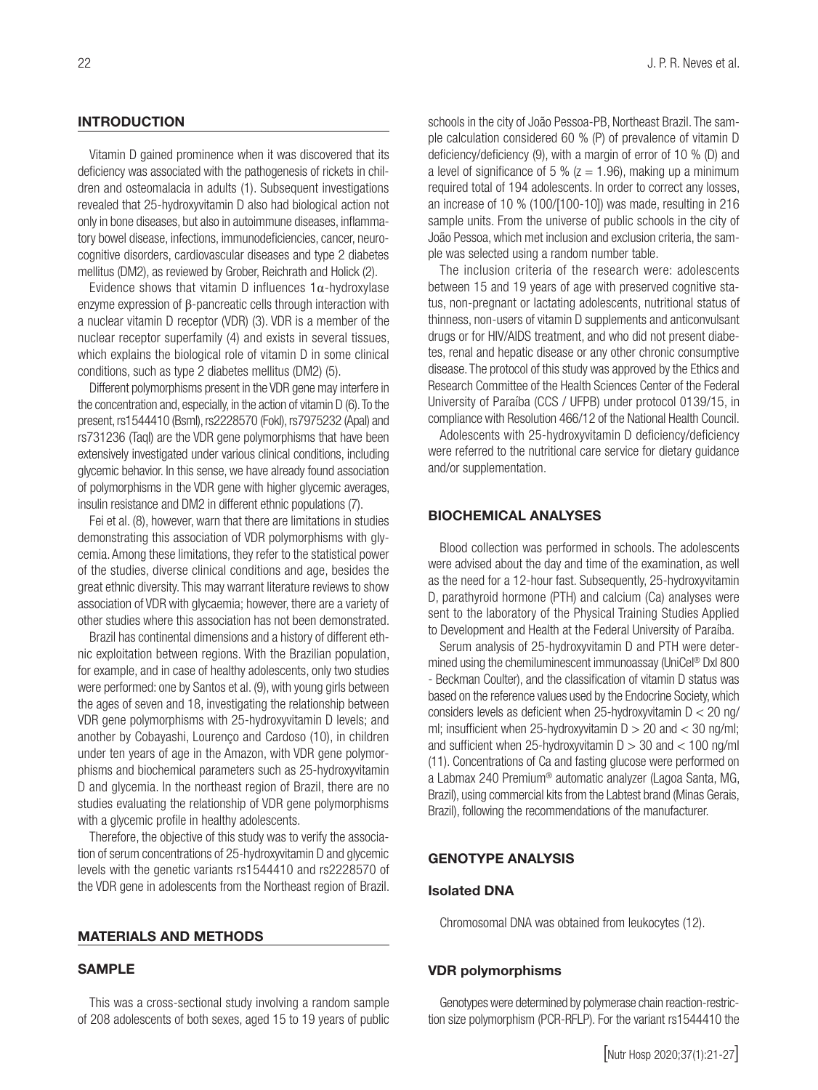# **INTRODUCTION**

Vitamin D gained prominence when it was discovered that its deficiency was associated with the pathogenesis of rickets in children and osteomalacia in adults (1). Subsequent investigations revealed that 25-hydroxyvitamin D also had biological action not only in bone diseases, but also in autoimmune diseases, inflammatory bowel disease, infections, immunodeficiencies, cancer, neurocognitive disorders, cardiovascular diseases and type 2 diabetes mellitus (DM2), as reviewed by Grober, Reichrath and Holick (2).

Evidence shows that vitamin D influences 1α-hydroxylase enzyme expression of β-pancreatic cells through interaction with a nuclear vitamin D receptor (VDR) (3). VDR is a member of the nuclear receptor superfamily (4) and exists in several tissues, which explains the biological role of vitamin D in some clinical conditions, such as type 2 diabetes mellitus (DM2) (5).

Different polymorphisms present in the VDR gene may interfere in the concentration and, especially, in the action of vitamin D (6). To the present, rs1544410 (BsmI), rs2228570 (FokI), rs7975232 (ApaI) and rs731236 (TaqI) are the VDR gene polymorphisms that have been extensively investigated under various clinical conditions, including glycemic behavior. In this sense, we have already found association of polymorphisms in the VDR gene with higher glycemic averages, insulin resistance and DM2 in different ethnic populations (7).

Fei et al. (8), however, warn that there are limitations in studies demonstrating this association of VDR polymorphisms with glycemia. Among these limitations, they refer to the statistical power of the studies, diverse clinical conditions and age, besides the great ethnic diversity. This may warrant literature reviews to show association of VDR with glycaemia; however, there are a variety of other studies where this association has not been demonstrated.

Brazil has continental dimensions and a history of different ethnic exploitation between regions. With the Brazilian population, for example, and in case of healthy adolescents, only two studies were performed: one by Santos et al. (9), with young girls between the ages of seven and 18, investigating the relationship between VDR gene polymorphisms with 25-hydroxyvitamin D levels; and another by Cobayashi, Lourenço and Cardoso (10), in children under ten years of age in the Amazon, with VDR gene polymorphisms and biochemical parameters such as 25-hydroxyvitamin D and glycemia. In the northeast region of Brazil, there are no studies evaluating the relationship of VDR gene polymorphisms with a glycemic profile in healthy adolescents.

Therefore, the objective of this study was to verify the association of serum concentrations of 25-hydroxyvitamin D and glycemic levels with the genetic variants rs1544410 and rs2228570 of the VDR gene in adolescents from the Northeast region of Brazil.

# MATERIALS AND METHODS

# SAMPLE

This was a cross-sectional study involving a random sample of 208 adolescents of both sexes, aged 15 to 19 years of public schools in the city of João Pessoa-PB, Northeast Brazil. The sample calculation considered 60 % (P) of prevalence of vitamin D deficiency/deficiency (9), with a margin of error of 10 % (D) and a level of significance of 5 % ( $z = 1.96$ ), making up a minimum required total of 194 adolescents. In order to correct any losses, an increase of 10 % (100/[100-10]) was made, resulting in 216 sample units. From the universe of public schools in the city of João Pessoa, which met inclusion and exclusion criteria, the sample was selected using a random number table.

The inclusion criteria of the research were: adolescents between 15 and 19 years of age with preserved cognitive status, non-pregnant or lactating adolescents, nutritional status of thinness, non-users of vitamin D supplements and anticonvulsant drugs or for HIV/AIDS treatment, and who did not present diabetes, renal and hepatic disease or any other chronic consumptive disease. The protocol of this study was approved by the Ethics and Research Committee of the Health Sciences Center of the Federal University of Paraíba (CCS / UFPB) under protocol 0139/15, in compliance with Resolution 466/12 of the National Health Council.

Adolescents with 25-hydroxyvitamin D deficiency/deficiency were referred to the nutritional care service for dietary guidance and/or supplementation.

#### BIOCHEMICAL ANALYSES

Blood collection was performed in schools. The adolescents were advised about the day and time of the examination, as well as the need for a 12-hour fast. Subsequently, 25-hydroxyvitamin D, parathyroid hormone (PTH) and calcium (Ca) analyses were sent to the laboratory of the Physical Training Studies Applied to Development and Health at the Federal University of Paraíba.

Serum analysis of 25-hydroxyvitamin D and PTH were determined using the chemiluminescent immunoassay (UniCel® DxI 800 - Beckman Coulter), and the classification of vitamin D status was based on the reference values used by the Endocrine Society, which considers levels as deficient when 25-hydroxyvitamin  $D < 20$  ng/ ml; insufficient when 25-hydroxyvitamin  $D > 20$  and  $<$  30 ng/ml; and sufficient when 25-hydroxyvitamin  $D > 30$  and  $< 100$  ng/ml (11). Concentrations of Ca and fasting glucose were performed on a Labmax 240 Premium® automatic analyzer (Lagoa Santa, MG, Brazil), using commercial kits from the Labtest brand (Minas Gerais, Brazil), following the recommendations of the manufacturer.

# GENOTYPE ANALYSIS

# Isolated DNA

Chromosomal DNA was obtained from leukocytes (12).

#### VDR polymorphisms

Genotypes were determined by polymerase chain reaction-restriction size polymorphism (PCR-RFLP). For the variant rs1544410 the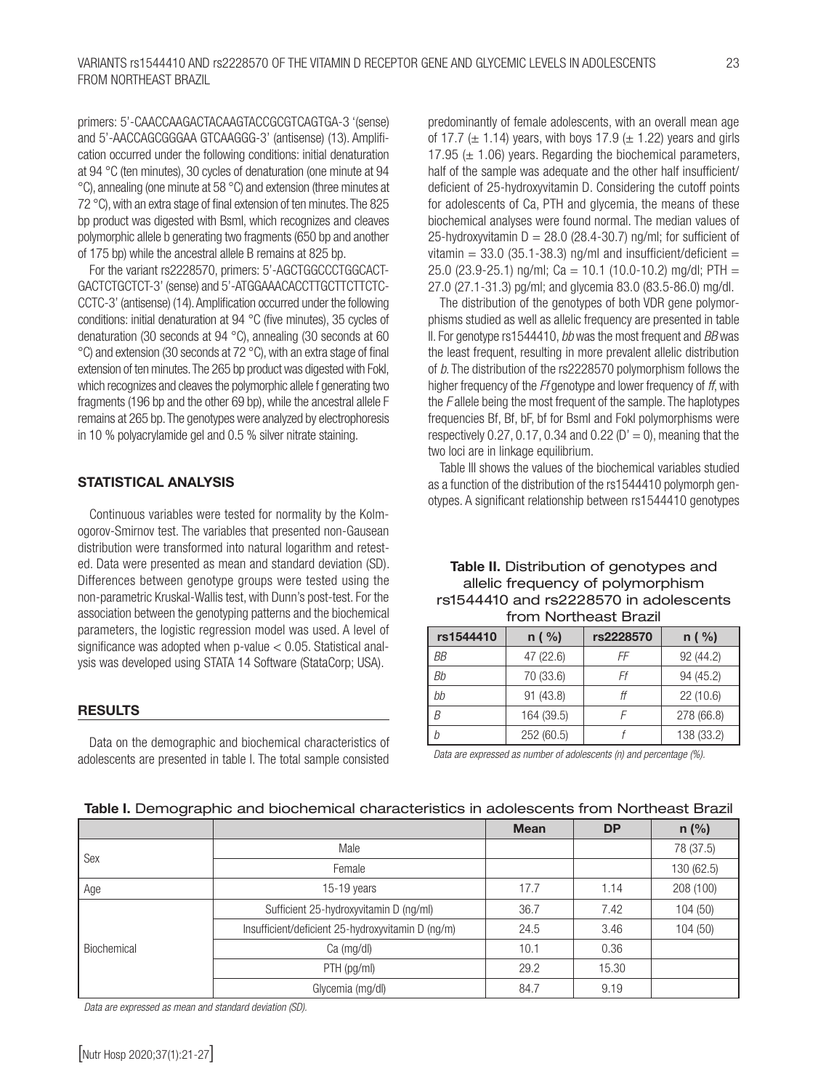primers: 5'-CAACCAAGACTACAAGTACCGCGTCAGTGA-3 '(sense) and 5'-AACCAGCGGGAA GTCAAGGG-3' (antisense) (13). Amplification occurred under the following conditions: initial denaturation at 94 °C (ten minutes), 30 cycles of denaturation (one minute at 94 °C), annealing (one minute at 58 °C) and extension (three minutes at 72 °C), with an extra stage of final extension of ten minutes. The 825 bp product was digested with BsmI, which recognizes and cleaves polymorphic allele b generating two fragments (650 bp and another of 175 bp) while the ancestral allele B remains at 825 bp.

For the variant rs2228570, primers: 5'-AGCTGGCCCTGGCACT-GACTCTGCTCT-3' (sense) and 5'-ATGGAAACACCTTGCTTCTTCTC-CCTC-3' (antisense) (14). Amplification occurred under the following conditions: initial denaturation at 94 °C (five minutes), 35 cycles of denaturation (30 seconds at 94 °C), annealing (30 seconds at 60 °C) and extension (30 seconds at 72 °C), with an extra stage of final extension of ten minutes. The 265 bp product was digested with FokI, which recognizes and cleaves the polymorphic allele f generating two fragments (196 bp and the other 69 bp), while the ancestral allele F remains at 265 bp. The genotypes were analyzed by electrophoresis in 10 % polyacrylamide gel and 0.5 % silver nitrate staining.

#### STATISTICAL ANALYSIS

Continuous variables were tested for normality by the Kolmogorov-Smirnov test. The variables that presented non-Gausean distribution were transformed into natural logarithm and retested. Data were presented as mean and standard deviation (SD). Differences between genotype groups were tested using the non-parametric Kruskal-Wallis test, with Dunn's post-test. For the association between the genotyping patterns and the biochemical parameters, the logistic regression model was used. A level of significance was adopted when p-value < 0.05. Statistical analysis was developed using STATA 14 Software (StataCorp; USA).

#### RESULTS

Data on the demographic and biochemical characteristics of adolescents are presented in table I. The total sample consisted

predominantly of female adolescents, with an overall mean age of 17.7 ( $\pm$  1.14) years, with boys 17.9 ( $\pm$  1.22) years and girls 17.95 ( $\pm$  1.06) years. Regarding the biochemical parameters, half of the sample was adequate and the other half insufficient/ deficient of 25-hydroxyvitamin D. Considering the cutoff points for adolescents of Ca, PTH and glycemia, the means of these biochemical analyses were found normal. The median values of 25-hydroxyvitamin  $D = 28.0$  (28.4-30.7) ng/ml; for sufficient of vitamin =  $33.0$  (35.1-38.3) ng/ml and insufficient/deficient = 25.0 (23.9-25.1) ng/ml; Ca = 10.1 (10.0-10.2) mg/dl; PTH = 27.0 (27.1-31.3) pg/ml; and glycemia 83.0 (83.5-86.0) mg/dl.

The distribution of the genotypes of both VDR gene polymorphisms studied as well as allelic frequency are presented in table II. For genotype rs1544410, *bb* was the most frequent and *BB* was the least frequent, resulting in more prevalent allelic distribution of *b*. The distribution of the rs2228570 polymorphism follows the higher frequency of the *Ff* genotype and lower frequency of *ff*, with the *F* allele being the most frequent of the sample. The haplotypes frequencies Bf, Bf, bF, bf for BsmI and FokI polymorphisms were respectively 0.27, 0.17, 0.34 and 0.22  $(D' = 0)$ , meaning that the two loci are in linkage equilibrium.

Table III shows the values of the biochemical variables studied as a function of the distribution of the rs1544410 polymorph genotypes. A significant relationship between rs1544410 genotypes

Table II. Distribution of genotypes and allelic frequency of polymorphism

| rs1544410 and rs2228570 in adolescents<br>from Northeast Brazil |            |           |            |
|-----------------------------------------------------------------|------------|-----------|------------|
| rs1544410                                                       | $n$ (%)    | rs2228570 | $n$ (%)    |
| ВB                                                              | 47 (22.6)  | FF        | 92 (44.2)  |
| Bh                                                              | 70 (33.6)  | Ff        | 94 (45.2)  |
| bb                                                              | 91 (43.8)  | ff        | 22(10.6)   |
| R                                                               | 164 (39.5) |           | 278 (66.8) |
|                                                                 |            |           |            |

*b* 252 (60.5) *f* 138 (33.2)

*Data are expressed as number of adolescents (n) and percentage (%).*

|             |                                                   | <b>Mean</b> | <b>DP</b> | $n$ (%)    |
|-------------|---------------------------------------------------|-------------|-----------|------------|
| Sex         | Male                                              |             |           | 78 (37.5)  |
|             | Female                                            |             |           | 130 (62.5) |
| Age         | 15-19 years                                       | 17.7        | 1.14      | 208 (100)  |
| Biochemical | Sufficient 25-hydroxyvitamin D (ng/ml)            | 36.7        | 7.42      | 104(50)    |
|             | Insufficient/deficient 25-hydroxyvitamin D (ng/m) | 24.5        | 3.46      | 104(50)    |
|             | Ca (mg/dl)                                        | 10.1        | 0.36      |            |
|             | PTH (pg/ml)                                       | 29.2        | 15.30     |            |
|             | Glycemia (mg/dl)                                  | 84.7        | 9.19      |            |

# Table I. Demographic and biochemical characteristics in adolescents from Northeast Brazil

*Data are expressed as mean and standard deviation (SD).*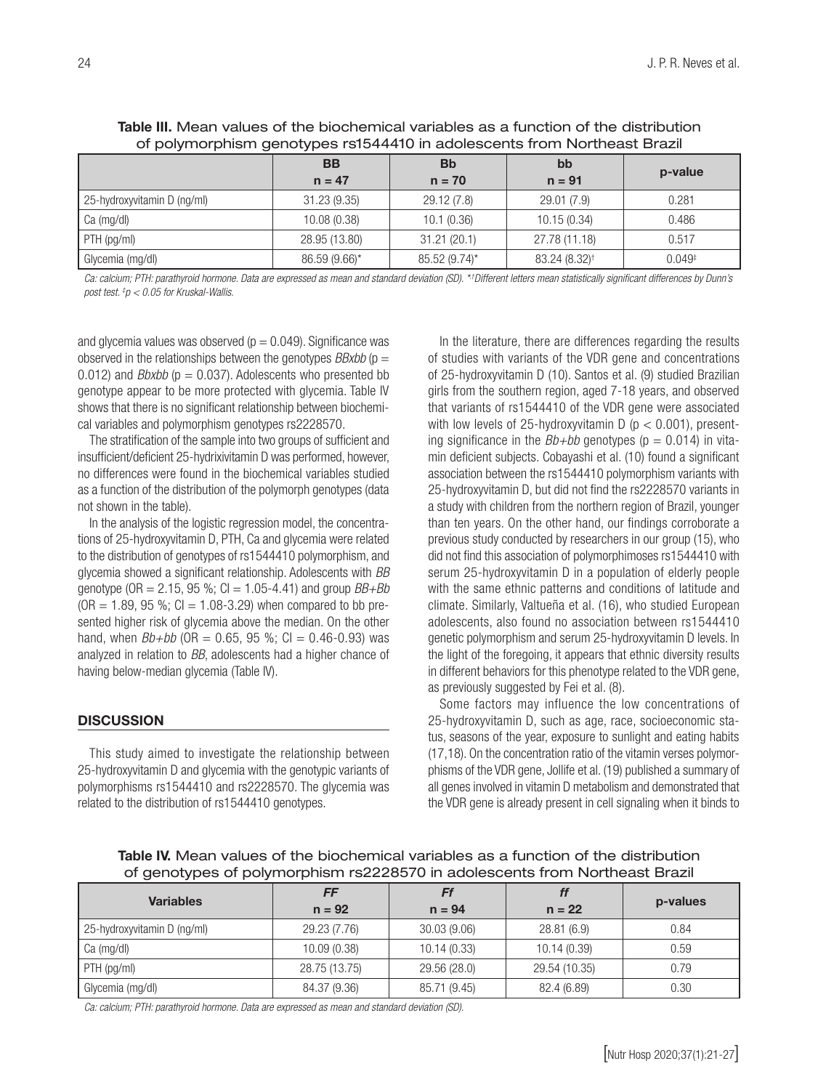| U pulphinup in sitt yenutypes is identified in additious in unit not the ast Diazir |               |               |                           |          |
|-------------------------------------------------------------------------------------|---------------|---------------|---------------------------|----------|
|                                                                                     | BB            | <b>Bb</b>     | bb                        | p-value  |
|                                                                                     | $n = 47$      | $n = 70$      | $n = 91$                  |          |
| 25-hydroxyvitamin D (ng/ml)                                                         | 31.23(9.35)   | 29.12(7.8)    | 29.01 (7.9)               | 0.281    |
| Ca (mg/dl)                                                                          | 10.08(0.38)   | 10.1(0.36)    | 10.15(0.34)               | 0.486    |
| PTH (pg/ml)                                                                         | 28.95 (13.80) | 31.21(20.1)   | 27.78 (11.18)             | 0.517    |
| Glycemia (mg/dl)                                                                    | 86.59 (9.66)* | 85.52 (9.74)* | 83.24 (8.32) <sup>†</sup> | $0.049*$ |

Table III. Mean values of the biochemical variables as a function of the distribution of polymorphism genotypes rs1544410 in adolescents from Northeast Brazil

Ca: calcium; PTH: parathyroid hormone. Data are expressed as mean and standard deviation (SD). \*†Different letters mean statistically significant differences by Dunn's *post test. ‡ p < 0.05 for Kruskal-Wallis.*

and glycemia values was observed ( $p = 0.049$ ). Significance was observed in the relationships between the genotypes  $BBxbb$  ( $p =$ 0.012) and *Bbxbb* ( $p = 0.037$ ). Adolescents who presented bb genotype appear to be more protected with glycemia. Table IV shows that there is no significant relationship between biochemical variables and polymorphism genotypes rs2228570.

The stratification of the sample into two groups of sufficient and insufficient/deficient 25-hydrixivitamin D was performed, however, no differences were found in the biochemical variables studied as a function of the distribution of the polymorph genotypes (data not shown in the table).

In the analysis of the logistic regression model, the concentrations of 25-hydroxyvitamin D, PTH, Ca and glycemia were related to the distribution of genotypes of rs1544410 polymorphism, and glycemia showed a significant relationship. Adolescents with *BB* genotype (OR = 2.15, 95 %; CI = 1.05-4.41) and group *BB+Bb*  $(OR = 1.89, 95\%; Cl = 1.08-3.29)$  when compared to bb presented higher risk of glycemia above the median. On the other hand, when  $Bb+bb$  (OR = 0.65, 95 %; CI = 0.46-0.93) was analyzed in relation to *BB*, adolescents had a higher chance of having below-median glycemia (Table IV).

# **DISCUSSION**

This study aimed to investigate the relationship between 25-hydroxyvitamin D and glycemia with the genotypic variants of polymorphisms rs1544410 and rs2228570. The glycemia was related to the distribution of rs1544410 genotypes.

In the literature, there are differences regarding the results of studies with variants of the VDR gene and concentrations of 25-hydroxyvitamin D (10). Santos et al. (9) studied Brazilian girls from the southern region, aged 7-18 years, and observed that variants of rs1544410 of the VDR gene were associated with low levels of 25-hydroxyvitamin D ( $p < 0.001$ ), presenting significance in the  $Bb+bb$  genotypes ( $p = 0.014$ ) in vitamin deficient subjects. Cobayashi et al. (10) found a significant association between the rs1544410 polymorphism variants with 25-hydroxyvitamin D, but did not find the rs2228570 variants in a study with children from the northern region of Brazil, younger than ten years. On the other hand, our findings corroborate a previous study conducted by researchers in our group (15), who did not find this association of polymorphimoses rs1544410 with serum 25-hydroxyvitamin D in a population of elderly people with the same ethnic patterns and conditions of latitude and climate. Similarly, Valtueña et al. (16), who studied European adolescents, also found no association between rs1544410 genetic polymorphism and serum 25-hydroxyvitamin D levels. In the light of the foregoing, it appears that ethnic diversity results in different behaviors for this phenotype related to the VDR gene, as previously suggested by Fei et al. (8).

Some factors may influence the low concentrations of 25-hydroxyvitamin D, such as age, race, socioeconomic status, seasons of the year, exposure to sunlight and eating habits (17,18). On the concentration ratio of the vitamin verses polymorphisms of the VDR gene, Jollife et al. (19) published a summary of all genes involved in vitamin D metabolism and demonstrated that the VDR gene is already present in cell signaling when it binds to

Table IV. Mean values of the biochemical variables as a function of the distribution of genotypes of polymorphism rs2228570 in adolescents from Northeast Brazil

| <b>Variables</b>            | FF<br>$n = 92$ | Ff<br>$n = 94$ | $n = 22$      | p-values |
|-----------------------------|----------------|----------------|---------------|----------|
| 25-hydroxyvitamin D (ng/ml) | 29.23 (7.76)   | 30.03 (9.06)   | 28.81(6.9)    | 0.84     |
| Ca (mg/dl)                  | 10.09(0.38)    | 10.14(0.33)    | 10.14(0.39)   | 0.59     |
| PTH(pg/ml)                  | 28.75 (13.75)  | 29.56 (28.0)   | 29.54 (10.35) | 0.79     |
| Glycemia (mg/dl)            | 84.37 (9.36)   | 85.71 (9.45)   | 82.4 (6.89)   | 0.30     |

*Ca: calcium; PTH: parathyroid hormone. Data are expressed as mean and standard deviation (SD).*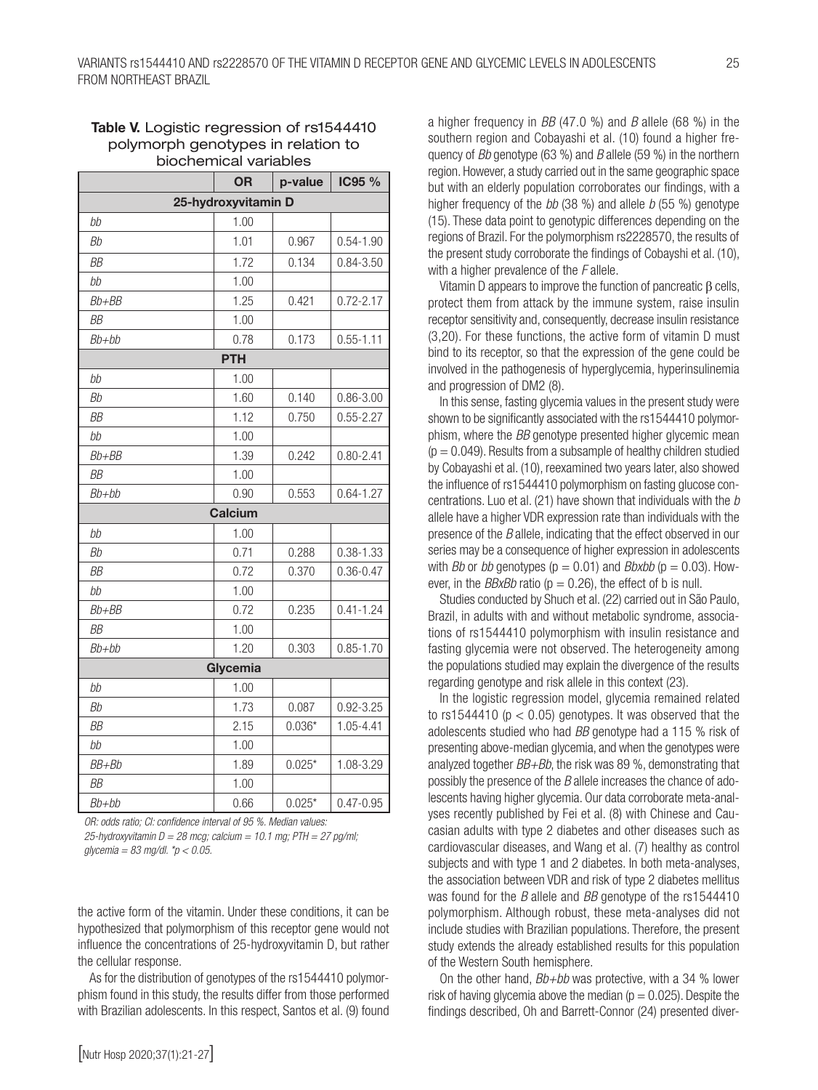|           | <b>OR</b>           | p-value  | IC95 %        |  |  |
|-----------|---------------------|----------|---------------|--|--|
|           | 25-hydroxyvitamin D |          |               |  |  |
| bb        | 1.00                |          |               |  |  |
| Bb        | 1.01                | 0.967    | $0.54 - 1.90$ |  |  |
| <b>BB</b> | 1.72                | 0.134    | $0.84 - 3.50$ |  |  |
| bb        | 1.00                |          |               |  |  |
| Bb+BB     | 1.25                | 0.421    | $0.72 - 2.17$ |  |  |
| <b>BB</b> | 1.00                |          |               |  |  |
| $Bb + bb$ | 0.78                | 0.173    | $0.55 - 1.11$ |  |  |
|           | <b>PTH</b>          |          |               |  |  |
| bb        | 1.00                |          |               |  |  |
| Bb        | 1.60                | 0.140    | $0.86 - 3.00$ |  |  |
| ВB        | 1.12                | 0.750    | $0.55 - 2.27$ |  |  |
| bb        | 1.00                |          |               |  |  |
| Bb+BB     | 1.39                | 0.242    | $0.80 - 2.41$ |  |  |
| <b>BB</b> | 1.00                |          |               |  |  |
| $Bb + bb$ | 0.90                | 0.553    | $0.64 - 1.27$ |  |  |
|           | Calcium             |          |               |  |  |
| bb        | 1.00                |          |               |  |  |
| Bb        | 0.71                | 0.288    | $0.38 - 1.33$ |  |  |
| BB        | 0.72                | 0.370    | $0.36 - 0.47$ |  |  |
| bb        | 1.00                |          |               |  |  |
| Bb+BB     | 0.72                | 0.235    | $0.41 - 1.24$ |  |  |
| ВB        | 1.00                |          |               |  |  |
| $Bb + bb$ | 1.20                | 0.303    | $0.85 - 1.70$ |  |  |
| Glycemia  |                     |          |               |  |  |
| bb        | 1.00                |          |               |  |  |
| Bb        | 1.73                | 0.087    | $0.92 - 3.25$ |  |  |
| <b>BB</b> | 2.15                | $0.036*$ | 1.05-4.41     |  |  |
| bb        | 1.00                |          |               |  |  |
| BB+Bb     | 1.89                | $0.025*$ | 1.08-3.29     |  |  |
| <b>BB</b> | 1.00                |          |               |  |  |
| $Bb + bb$ | 0.66                | $0.025*$ | $0.47 - 0.95$ |  |  |

# Table V. Logistic regression of rs1544410 polymorph genotypes in relation to biochemical variables

*OR: odds ratio; CI: confidence interval of 95 %. Median values: 25-hydroxyvitamin D = 28 mcg; calcium = 10.1 mg; PTH = 27 pg/ml;* 

*glycemia = 83 mg/dl. \*p < 0.05.*

the active form of the vitamin. Under these conditions, it can be hypothesized that polymorphism of this receptor gene would not influence the concentrations of 25-hydroxyvitamin D, but rather the cellular response.

As for the distribution of genotypes of the rs1544410 polymorphism found in this study, the results differ from those performed with Brazilian adolescents. In this respect, Santos et al. (9) found a higher frequency in *BB* (47.0 %) and *B* allele (68 %) in the southern region and Cobayashi et al. (10) found a higher frequency of *Bb* genotype (63 %) and *B* allele (59 %) in the northern region. However, a study carried out in the same geographic space but with an elderly population corroborates our findings, with a higher frequency of the *bb* (38 %) and allele *b* (55 %) genotype (15). These data point to genotypic differences depending on the regions of Brazil. For the polymorphism rs2228570, the results of the present study corroborate the findings of Cobayshi et al. (10), with a higher prevalence of the *F* allele.

Vitamin D appears to improve the function of pancreatic β cells, protect them from attack by the immune system, raise insulin receptor sensitivity and, consequently, decrease insulin resistance (3,20). For these functions, the active form of vitamin D must bind to its receptor, so that the expression of the gene could be involved in the pathogenesis of hyperglycemia, hyperinsulinemia and progression of DM2 (8).

In this sense, fasting glycemia values in the present study were shown to be significantly associated with the rs1544410 polymorphism, where the *BB* genotype presented higher glycemic mean  $(p = 0.049)$ . Results from a subsample of healthy children studied by Cobayashi et al. (10), reexamined two years later, also showed the influence of rs1544410 polymorphism on fasting glucose concentrations. Luo et al. (21) have shown that individuals with the *b* allele have a higher VDR expression rate than individuals with the presence of the *B* allele, indicating that the effect observed in our series may be a consequence of higher expression in adolescents with *Bb* or *bb* genotypes ( $p = 0.01$ ) and *Bbxbb* ( $p = 0.03$ ). However, in the *BBxBb* ratio ( $p = 0.26$ ), the effect of b is null.

Studies conducted by Shuch et al. (22) carried out in São Paulo, Brazil, in adults with and without metabolic syndrome, associations of rs1544410 polymorphism with insulin resistance and fasting glycemia were not observed. The heterogeneity among the populations studied may explain the divergence of the results regarding genotype and risk allele in this context (23).

In the logistic regression model, glycemia remained related to rs1544410 ( $p < 0.05$ ) genotypes. It was observed that the adolescents studied who had *BB* genotype had a 115 % risk of presenting above-median glycemia, and when the genotypes were analyzed together *BB+Bb*, the risk was 89 %, demonstrating that possibly the presence of the *B* allele increases the chance of adolescents having higher glycemia. Our data corroborate meta-analyses recently published by Fei et al. (8) with Chinese and Caucasian adults with type 2 diabetes and other diseases such as cardiovascular diseases, and Wang et al. (7) healthy as control subjects and with type 1 and 2 diabetes. In both meta-analyses, the association between VDR and risk of type 2 diabetes mellitus was found for the *B* allele and *BB* genotype of the rs1544410 polymorphism. Although robust, these meta-analyses did not include studies with Brazilian populations. Therefore, the present study extends the already established results for this population of the Western South hemisphere.

On the other hand, *Bb+bb* was protective, with a 34 % lower risk of having glycemia above the median ( $p = 0.025$ ). Despite the findings described, Oh and Barrett-Connor (24) presented diver-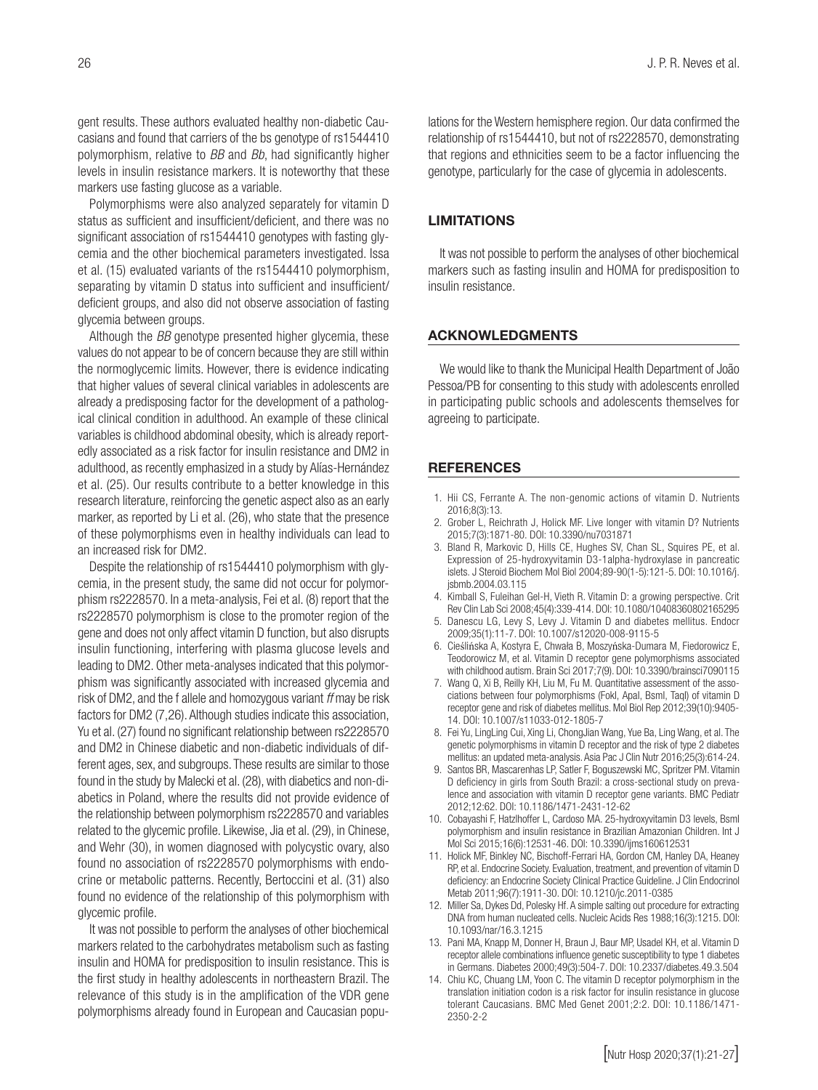gent results. These authors evaluated healthy non-diabetic Caucasians and found that carriers of the bs genotype of rs1544410 polymorphism, relative to *BB* and *Bb*, had significantly higher levels in insulin resistance markers. It is noteworthy that these markers use fasting glucose as a variable.

Polymorphisms were also analyzed separately for vitamin D status as sufficient and insufficient/deficient, and there was no significant association of rs1544410 genotypes with fasting glycemia and the other biochemical parameters investigated. Issa et al. (15) evaluated variants of the rs1544410 polymorphism, separating by vitamin D status into sufficient and insufficient/ deficient groups, and also did not observe association of fasting glycemia between groups.

Although the *BB* genotype presented higher glycemia, these values do not appear to be of concern because they are still within the normoglycemic limits. However, there is evidence indicating that higher values of several clinical variables in adolescents are already a predisposing factor for the development of a pathological clinical condition in adulthood. An example of these clinical variables is childhood abdominal obesity, which is already reportedly associated as a risk factor for insulin resistance and DM2 in adulthood, as recently emphasized in a study by Alías-Hernández et al. (25). Our results contribute to a better knowledge in this research literature, reinforcing the genetic aspect also as an early marker, as reported by Li et al. (26), who state that the presence of these polymorphisms even in healthy individuals can lead to an increased risk for DM2.

Despite the relationship of rs1544410 polymorphism with glycemia, in the present study, the same did not occur for polymorphism rs2228570. In a meta-analysis, Fei et al. (8) report that the rs2228570 polymorphism is close to the promoter region of the gene and does not only affect vitamin D function, but also disrupts insulin functioning, interfering with plasma glucose levels and leading to DM2. Other meta-analyses indicated that this polymorphism was significantly associated with increased glycemia and risk of DM2, and the f allele and homozygous variant *ff* may be risk factors for DM2 (7,26). Although studies indicate this association, Yu et al. (27) found no significant relationship between rs2228570 and DM2 in Chinese diabetic and non-diabetic individuals of different ages, sex, and subgroups. These results are similar to those found in the study by Malecki et al. (28), with diabetics and non-diabetics in Poland, where the results did not provide evidence of the relationship between polymorphism rs2228570 and variables related to the glycemic profile. Likewise, Jia et al. (29), in Chinese, and Wehr (30), in women diagnosed with polycystic ovary, also found no association of rs2228570 polymorphisms with endocrine or metabolic patterns. Recently, Bertoccini et al. (31) also found no evidence of the relationship of this polymorphism with glycemic profile.

It was not possible to perform the analyses of other biochemical markers related to the carbohydrates metabolism such as fasting insulin and HOMA for predisposition to insulin resistance. This is the first study in healthy adolescents in northeastern Brazil. The relevance of this study is in the amplification of the VDR gene polymorphisms already found in European and Caucasian populations for the Western hemisphere region. Our data confirmed the relationship of rs1544410, but not of rs2228570, demonstrating that regions and ethnicities seem to be a factor influencing the genotype, particularly for the case of glycemia in adolescents.

#### LIMITATIONS

It was not possible to perform the analyses of other biochemical markers such as fasting insulin and HOMA for predisposition to insulin resistance.

#### ACKNOWLEDGMENTS

We would like to thank the Municipal Health Department of João Pessoa/PB for consenting to this study with adolescents enrolled in participating public schools and adolescents themselves for agreeing to participate.

#### **REFERENCES**

- 1. Hii CS, Ferrante A. The non-genomic actions of vitamin D. Nutrients 2016;8(3):13.
- 2. Grober L, Reichrath J, Holick MF. Live longer with vitamin D? Nutrients 2015;7(3):1871-80. DOI: 10.3390/nu7031871
- 3. Bland R, Markovic D, Hills CE, Hughes SV, Chan SL, Squires PE, et al. Expression of 25-hydroxyvitamin D3-1alpha-hydroxylase in pancreatic islets. J Steroid Biochem Mol Biol 2004;89-90(1-5):121-5. DOI: 10.1016/j. jsbmb.2004.03.115
- 4. Kimball S, Fuleihan Gel-H, Vieth R. Vitamin D: a growing perspective. Crit Rev Clin Lab Sci 2008;45(4):339-414. DOI: 10.1080/10408360802165295
- 5. Danescu LG, Levy S, Levy J. Vitamin D and diabetes mellitus. Endocr 2009;35(1):11-7. DOI: 10.1007/s12020-008-9115-5
- 6. Cieślińska A, Kostyra E, Chwała B, Moszyńska-Dumara M, Fiedorowicz E, Teodorowicz M, et al. Vitamin D receptor gene polymorphisms associated with childhood autism. Brain Sci 2017;7(9). DOI: 10.3390/brainsci7090115
- 7. Wang Q, Xi B, Reilly KH, Liu M, Fu M. Quantitative assessment of the associations between four polymorphisms (FokI, ApaI, BsmI, TaqI) of vitamin D receptor gene and risk of diabetes mellitus. Mol Biol Rep 2012;39(10):9405- 14. DOI: 10.1007/s11033-012-1805-7
- 8. Fei Yu, LingLing Cui, Xing Li, ChongJian Wang, Yue Ba, Ling Wang, et al. The genetic polymorphisms in vitamin D receptor and the risk of type 2 diabetes mellitus: an updated meta-analysis. Asia Pac J Clin Nutr 2016;25(3):614-24.
- 9. Santos BR, Mascarenhas LP, Satler F, Boguszewski MC, Spritzer PM. Vitamin D deficiency in girls from South Brazil: a cross-sectional study on prevalence and association with vitamin D receptor gene variants. BMC Pediatr 2012;12:62. DOI: 10.1186/1471-2431-12-62
- 10. Cobayashi F, Hatzlhoffer L, Cardoso MA. 25-hydroxyvitamin D3 levels, BsmI polymorphism and insulin resistance in Brazilian Amazonian Children. Int J Mol Sci 2015;16(6):12531-46. DOI: 10.3390/ijms160612531
- 11. Holick MF, Binkley NC, Bischoff-Ferrari HA, Gordon CM, Hanley DA, Heaney RP, et al. Endocrine Society. Evaluation, treatment, and prevention of vitamin D deficiency: an Endocrine Society Clinical Practice Guideline. J Clin Endocrinol Metab 2011;96(7):1911-30. DOI: 10.1210/jc.2011-0385
- 12. Miller Sa, Dykes Dd, Polesky Hf. A simple salting out procedure for extracting DNA from human nucleated cells. Nucleic Acids Res 1988;16(3):1215. DOI: 10.1093/nar/16.3.1215
- 13. Pani MA, Knapp M, Donner H, Braun J, Baur MP, Usadel KH, et al. Vitamin D receptor allele combinations influence genetic susceptibility to type 1 diabetes in Germans. Diabetes 2000;49(3):504-7. DOI: 10.2337/diabetes.49.3.504
- 14. Chiu KC, Chuang LM, Yoon C. The vitamin D receptor polymorphism in the translation initiation codon is a risk factor for insulin resistance in glucose tolerant Caucasians. BMC Med Genet 2001;2:2. DOI: 10.1186/1471- 2350-2-2